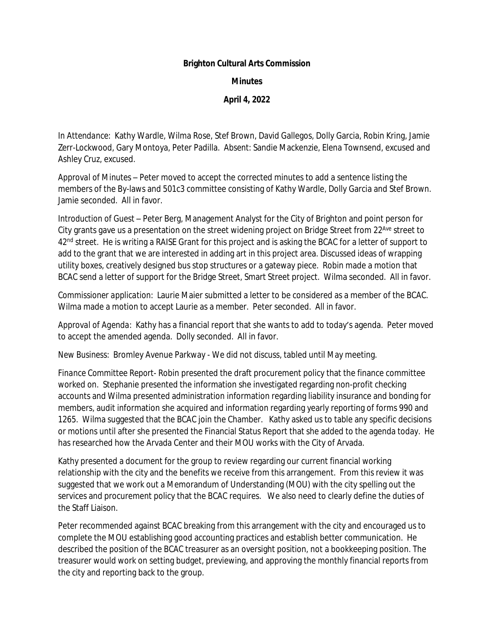## **Brighton Cultural Arts Commission**

## **Minutes**

## **April 4, 2022**

*In Attendance*: Kathy Wardle, Wilma Rose, Stef Brown, David Gallegos, Dolly Garcia, Robin Kring, Jamie Zerr-Lockwood, Gary Montoya, Peter Padilla. *Absent*: Sandie Mackenzie, Elena Townsend, excused and Ashley Cruz, excused.

*Approval of Minutes* – Peter moved to accept the corrected minutes to add a sentence listing the members of the By-laws and 501c3 committee consisting of Kathy Wardle, Dolly Garcia and Stef Brown. Jamie seconded. All in favor.

*Introduction of Guest* – Peter Berg, Management Analyst for the City of Brighton and point person for City grants gave us a presentation on the street widening project on Bridge Street from 22<sup>Ave</sup> street to 42<sup>nd</sup> street. He is writing a RAISE Grant for this project and is asking the BCAC for a letter of support to add to the grant that we are interested in adding art in this project area. Discussed ideas of wrapping utility boxes, creatively designed bus stop structures or a gateway piece. Robin made a motion that BCAC send a letter of support for the Bridge Street, Smart Street project. Wilma seconded. All in favor.

*Commissioner application*: Laurie Maier submitted a letter to be considered as a member of the BCAC. Wilma made a motion to accept Laurie as a member. Peter seconded. All in favor.

*Approval of Agenda:* Kathy has a financial report that she wants to add to today's agenda. Peter moved to accept the amended agenda. Dolly seconded. All in favor.

*New Business:* Bromley Avenue Parkway - We did not discuss, tabled until May meeting.

*Finance Committee Report*- Robin presented the draft procurement policy that the finance committee worked on. Stephanie presented the information she investigated regarding non-profit checking accounts and Wilma presented administration information regarding liability insurance and bonding for members, audit information she acquired and information regarding yearly reporting of forms 990 and 1265. Wilma suggested that the BCAC join the Chamber. Kathy asked us to table any specific decisions or motions until after she presented the Financial Status Report that she added to the agenda today. He has researched how the Arvada Center and their MOU works with the City of Arvada.

Kathy presented a document for the group to review regarding our current financial working relationship with the city and the benefits we receive from this arrangement. From this review it was suggested that we work out a Memorandum of Understanding (MOU) with the city spelling out the services and procurement policy that the BCAC requires. We also need to clearly define the duties of the Staff Liaison.

Peter recommended against BCAC breaking from this arrangement with the city and encouraged us to complete the MOU establishing good accounting practices and establish better communication. He described the position of the BCAC treasurer as an oversight position, not a bookkeeping position. The treasurer would work on setting budget, previewing, and approving the monthly financial reports from the city and reporting back to the group.